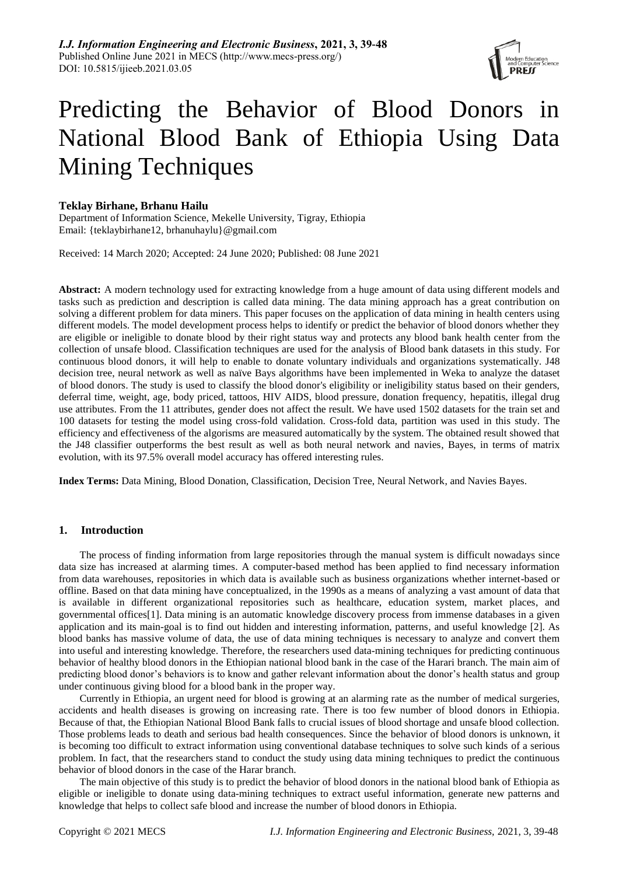

# Predicting the Behavior of Blood Donors in National Blood Bank of Ethiopia Using Data Mining Techniques

# **Teklay Birhane, Brhanu Hailu**

Department of Information Science, Mekelle University, Tigray, Ethiopia Email: [{teklaybirhane12, brhanuhaylu}@gmail.com](mailto:teklaybirhane12,%20brhanuhaylu%7d@gmail.com)

Received: 14 March 2020; Accepted: 24 June 2020; Published: 08 June 2021

**Abstract:** A modern technology used for extracting knowledge from a huge amount of data using different models and tasks such as prediction and description is called data mining. The data mining approach has a great contribution on solving a different problem for data miners. This paper focuses on the application of data mining in health centers using different models. The model development process helps to identify or predict the behavior of blood donors whether they are eligible or ineligible to donate blood by their right status way and protects any blood bank health center from the collection of unsafe blood. Classification techniques are used for the analysis of Blood bank datasets in this study. For continuous blood donors, it will help to enable to donate voluntary individuals and organizations systematically. J48 decision tree, neural network as well as naïve Bays algorithms have been implemented in Weka to analyze the dataset of blood donors. The study is used to classify the blood donor's eligibility or ineligibility status based on their genders, deferral time, weight, age, body priced, tattoos, HIV AIDS, blood pressure, donation frequency, hepatitis, illegal drug use attributes. From the 11 attributes, gender does not affect the result. We have used 1502 datasets for the train set and 100 datasets for testing the model using cross-fold validation. Cross-fold data, partition was used in this study. The efficiency and effectiveness of the algorisms are measured automatically by the system. The obtained result showed that the J48 classifier outperforms the best result as well as both neural network and navies, Bayes, in terms of matrix evolution, with its 97.5% overall model accuracy has offered interesting rules.

**Index Terms:** Data Mining, Blood Donation, Classification, Decision Tree, Neural Network, and Navies Bayes.

# **1. Introduction**

The process of finding information from large repositories through the manual system is difficult nowadays since data size has increased at alarming times. A computer-based method has been applied to find necessary information from data warehouses, repositories in which data is available such as business organizations whether internet-based or offline. Based on that data mining have conceptualized, in the 1990s as a means of analyzing a vast amount of data that is available in different organizational repositories such as healthcare, education system, market places, and governmental offices[1]. Data mining is an automatic knowledge discovery process from immense databases in a given application and its main-goal is to find out hidden and interesting information, patterns, and useful knowledge [2]. As blood banks has massive volume of data, the use of data mining techniques is necessary to analyze and convert them into useful and interesting knowledge. Therefore, the researchers used data-mining techniques for predicting continuous behavior of healthy blood donors in the Ethiopian national blood bank in the case of the Harari branch. The main aim of predicting blood donor's behaviors is to know and gather relevant information about the donor's health status and group under continuous giving blood for a blood bank in the proper way.

Currently in Ethiopia, an urgent need for blood is growing at an alarming rate as the number of medical surgeries, accidents and health diseases is growing on increasing rate. There is too few number of blood donors in Ethiopia. Because of that, the Ethiopian National Blood Bank falls to crucial issues of blood shortage and unsafe blood collection. Those problems leads to death and serious bad health consequences. Since the behavior of blood donors is unknown, it is becoming too difficult to extract information using conventional database techniques to solve such kinds of a serious problem. In fact, that the researchers stand to conduct the study using data mining techniques to predict the continuous behavior of blood donors in the case of the Harar branch.

The main objective of this study is to predict the behavior of blood donors in the national blood bank of Ethiopia as eligible or ineligible to donate using data-mining techniques to extract useful information, generate new patterns and knowledge that helps to collect safe blood and increase the number of blood donors in Ethiopia.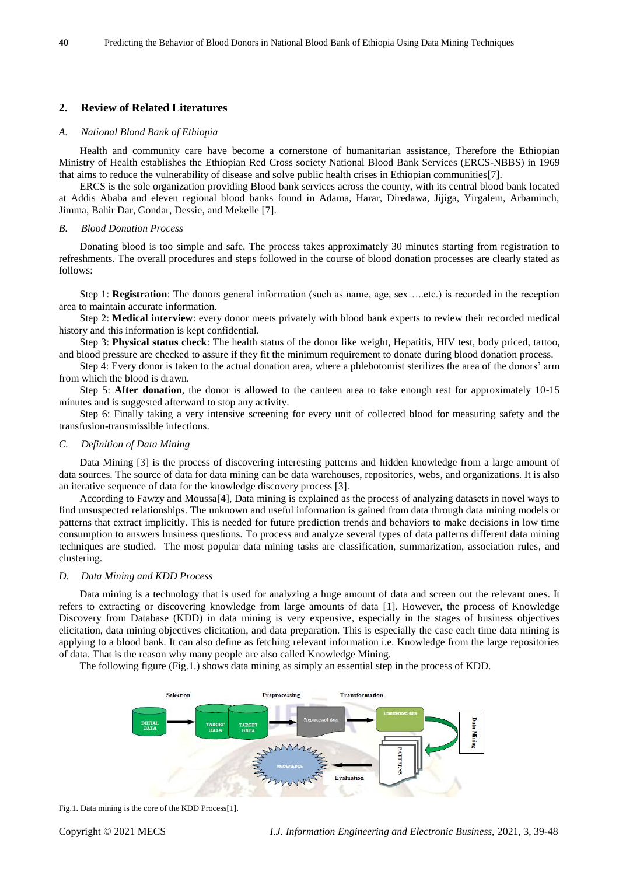# **2. Review of Related Literatures**

#### *A. National Blood Bank of Ethiopia*

Health and community care have become a cornerstone of humanitarian assistance, Therefore the Ethiopian Ministry of Health establishes the Ethiopian Red Cross society National Blood Bank Services (ERCS-NBBS) in 1969 that aims to reduce the vulnerability of disease and solve public health crises in Ethiopian communities[7].

ERCS is the sole organization providing Blood bank services across the county, with its central blood bank located at Addis Ababa and eleven regional blood banks found in Adama, Harar, Diredawa, Jijiga, Yirgalem, Arbaminch, Jimma, Bahir Dar, Gondar, Dessie, and Mekelle [7].

#### *B. Blood Donation Process*

Donating blood is too simple and safe. The process takes approximately 30 minutes starting from registration to refreshments. The overall procedures and steps followed in the course of blood donation processes are clearly stated as follows:

Step 1: **Registration**: The donors general information (such as name, age, sex…..etc.) is recorded in the reception area to maintain accurate information.

Step 2: **Medical interview**: every donor meets privately with blood bank experts to review their recorded medical history and this information is kept confidential.

Step 3: **Physical status check**: The health status of the donor like weight, Hepatitis, HIV test, body priced, tattoo, and blood pressure are checked to assure if they fit the minimum requirement to donate during blood donation process.

Step 4: Every donor is taken to the actual donation area, where a phlebotomist sterilizes the area of the donors' arm from which the blood is drawn.

Step 5: **After donation**, the donor is allowed to the canteen area to take enough rest for approximately 10-15 minutes and is suggested afterward to stop any activity.

Step 6: Finally taking a very intensive screening for every unit of collected blood for measuring safety and the transfusion-transmissible infections.

#### *C. Definition of Data Mining*

Data Mining [3] is the process of discovering interesting patterns and hidden knowledge from a large amount of data sources. The source of data for data mining can be data warehouses, repositories, webs, and organizations. It is also an iterative sequence of data for the knowledge discovery process [3].

According to Fawzy and Moussa[4], Data mining is explained as the process of analyzing datasets in novel ways to find unsuspected relationships. The unknown and useful information is gained from data through data mining models or patterns that extract implicitly. This is needed for future prediction trends and behaviors to make decisions in low time consumption to answers business questions. To process and analyze several types of data patterns different data mining techniques are studied. The most popular data mining tasks are classification, summarization, association rules, and clustering.

#### *D. Data Mining and KDD Process*

Data mining is a technology that is used for analyzing a huge amount of data and screen out the relevant ones. It refers to extracting or discovering knowledge from large amounts of data [1]. However, the process of Knowledge Discovery from Database (KDD) in data mining is very expensive, especially in the stages of business objectives elicitation, data mining objectives elicitation, and data preparation. This is especially the case each time data mining is applying to a blood bank. It can also define as fetching relevant information i.e. Knowledge from the large repositories of data. That is the reason why many people are also called Knowledge Mining.

The following figure (Fig.1.) shows data mining as simply an essential step in the process of KDD.



Fig.1. Data mining is the core of the KDD Process[1].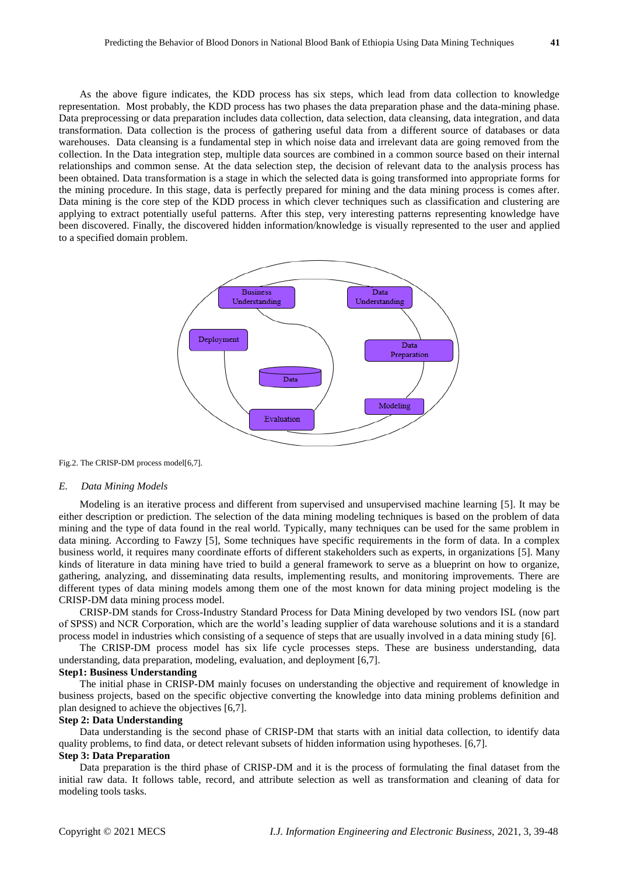As the above figure indicates, the KDD process has six steps, which lead from data collection to knowledge representation. Most probably, the KDD process has two phases the data preparation phase and the data-mining phase. Data preprocessing or data preparation includes data collection, data selection, data cleansing, data integration, and data transformation. Data collection is the process of gathering useful data from a different source of databases or data warehouses. Data cleansing is a fundamental step in which noise data and irrelevant data are going removed from the collection. In the Data integration step, multiple data sources are combined in a common source based on their internal relationships and common sense. At the data selection step, the decision of relevant data to the analysis process has been obtained. Data transformation is a stage in which the selected data is going transformed into appropriate forms for the mining procedure. In this stage, data is perfectly prepared for mining and the data mining process is comes after. Data mining is the core step of the KDD process in which clever techniques such as classification and clustering are applying to extract potentially useful patterns. After this step, very interesting patterns representing knowledge have been discovered. Finally, the discovered hidden information/knowledge is visually represented to the user and applied to a specified domain problem.



Fig.2. The CRISP-DM process model[6,7].

#### *E. Data Mining Models*

Modeling is an iterative process and different from supervised and unsupervised machine learning [5]. It may be either description or prediction. The selection of the data mining modeling techniques is based on the problem of data mining and the type of data found in the real world. Typically, many techniques can be used for the same problem in data mining. According to Fawzy [5], Some techniques have specific requirements in the form of data. In a complex business world, it requires many coordinate efforts of different stakeholders such as experts, in organizations [5]. Many kinds of literature in data mining have tried to build a general framework to serve as a blueprint on how to organize, gathering, analyzing, and disseminating data results, implementing results, and monitoring improvements. There are different types of data mining models among them one of the most known for data mining project modeling is the CRISP-DM data mining process model.

CRISP-DM stands for Cross-Industry Standard Process for Data Mining developed by two vendors ISL (now part of SPSS) and NCR Corporation, which are the world's leading supplier of data warehouse solutions and it is a standard process model in industries which consisting of a sequence of steps that are usually involved in a data mining study [6].

The CRISP-DM process model has six life cycle processes steps. These are business understanding, data understanding, data preparation, modeling, evaluation, and deployment [6,7].

#### **Step1: Business Understanding**

The initial phase in CRISP-DM mainly focuses on understanding the objective and requirement of knowledge in business projects, based on the specific objective converting the knowledge into data mining problems definition and plan designed to achieve the objectives [6,7].

# **Step 2: Data Understanding**

Data understanding is the second phase of CRISP-DM that starts with an initial data collection, to identify data quality problems, to find data, or detect relevant subsets of hidden information using hypotheses. [6,7].

# **Step 3: Data Preparation**

Data preparation is the third phase of CRISP-DM and it is the process of formulating the final dataset from the initial raw data. It follows table, record, and attribute selection as well as transformation and cleaning of data for modeling tools tasks.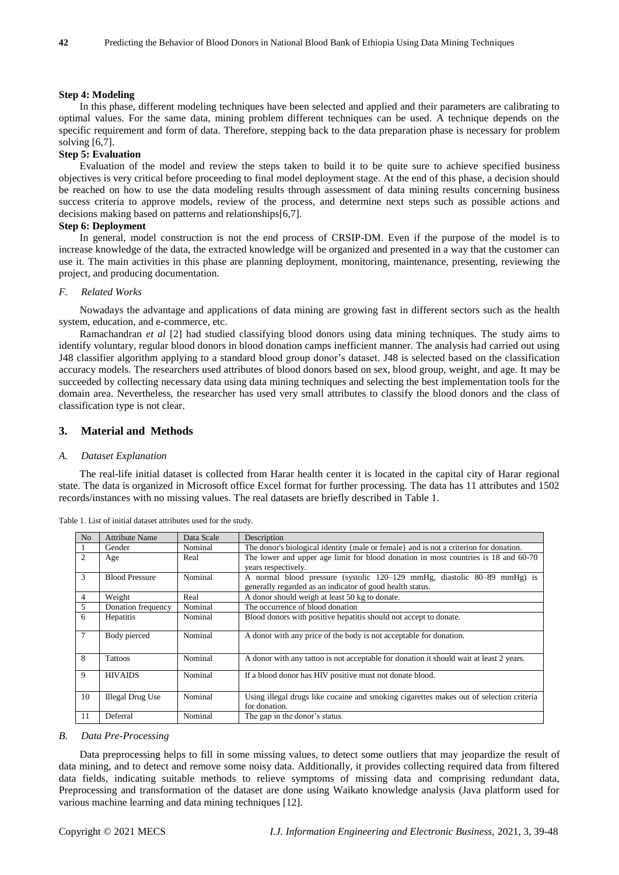#### **Step 4: Modeling**

In this phase, different modeling techniques have been selected and applied and their parameters are calibrating to optimal values. For the same data, mining problem different techniques can be used. A technique depends on the specific requirement and form of data. Therefore, stepping back to the data preparation phase is necessary for problem solving [6,7].

# **Step 5: Evaluation**

Evaluation of the model and review the steps taken to build it to be quite sure to achieve specified business objectives is very critical before proceeding to final model deployment stage. At the end of this phase, a decision should be reached on how to use the data modeling results through assessment of data mining results concerning business success criteria to approve models, review of the process, and determine next steps such as possible actions and decisions making based on patterns and relationships[6,7].

# **Step 6: Deployment**

In general, model construction is not the end process of CRSIP-DM. Even if the purpose of the model is to increase knowledge of the data, the extracted knowledge will be organized and presented in a way that the customer can use it. The main activities in this phase are planning deployment, monitoring, maintenance, presenting, reviewing the project, and producing documentation.

# *F. Related Works*

Nowadays the advantage and applications of data mining are growing fast in different sectors such as the health system, education, and e-commerce, etc.

Ramachandran *et al* [2] had studied classifying blood donors using data mining techniques. The study aims to identify voluntary, regular blood donors in blood donation camps inefficient manner. The analysis had carried out using J48 classifier algorithm applying to a standard blood group donor's dataset. J48 is selected based on the classification accuracy models. The researchers used attributes of blood donors based on sex, blood group, weight, and age. It may be succeeded by collecting necessary data using data mining techniques and selecting the best implementation tools for the domain area. Nevertheless, the researcher has used very small attributes to classify the blood donors and the class of classification type is not clear.

#### **3. Material and Methods**

#### *A. Dataset Explanation*

The real-life initial dataset is collected from Harar health center it is located in the capital city of Harar regional state. The data is organized in Microsoft office Excel format for further processing. The data has 11 attributes and 1502 records/instances with no missing values. The real datasets are briefly described in Table 1.

| N <sub>o</sub> | <b>Attribute Name</b>   | Data Scale | Description                                                                             |
|----------------|-------------------------|------------|-----------------------------------------------------------------------------------------|
| 1              | Gender                  | Nominal    | The donor's biological identity {male or female} and is not a criterion for donation.   |
| $\overline{c}$ | Age                     | Real       | The lower and upper age limit for blood donation in most countries is 18 and 60-70      |
|                |                         |            | years respectively.                                                                     |
| 3              | <b>Blood Pressure</b>   | Nominal    | A normal blood pressure (systolic 120–129 mmHg, diastolic 80–89 mmHg) is                |
|                |                         |            | generally regarded as an indicator of good health status.                               |
| $\overline{4}$ | Weight                  | Real       | A donor should weigh at least 50 kg to donate.                                          |
| $\overline{5}$ | Donation frequency      | Nominal    | The occurrence of blood donation                                                        |
| 6              | Hepatitis               | Nominal    | Blood donors with positive hepatitis should not accept to donate.                       |
|                |                         |            |                                                                                         |
| 7              | Body pierced            | Nominal    | A donor with any price of the body is not acceptable for donation.                      |
|                |                         |            |                                                                                         |
| 8              | Tattoos                 | Nominal    | A donor with any tattoo is not acceptable for donation it should wait at least 2 years. |
|                |                         |            |                                                                                         |
| 9              | <b>HIVAIDS</b>          | Nominal    | If a blood donor has HIV positive must not donate blood.                                |
|                |                         |            |                                                                                         |
| 10             | <b>Illegal Drug Use</b> | Nominal    | Using illegal drugs like cocaine and smoking cigarettes makes out of selection criteria |
|                |                         |            | for donation.                                                                           |
| 11             | Deferral                | Nominal    | The gap in the donor's status.                                                          |

Table 1. List of initial dataset attributes used for the study.

#### *B. Data Pre-Processing*

Data preprocessing helps to fill in some missing values, to detect some outliers that may jeopardize the result of data mining, and to detect and remove some noisy data. Additionally, it provides collecting required data from filtered data fields, indicating suitable methods to relieve symptoms of missing data and comprising redundant data, Preprocessing and transformation of the dataset are done using Waikato knowledge analysis (Java platform used for various machine learning and data mining techniques [12].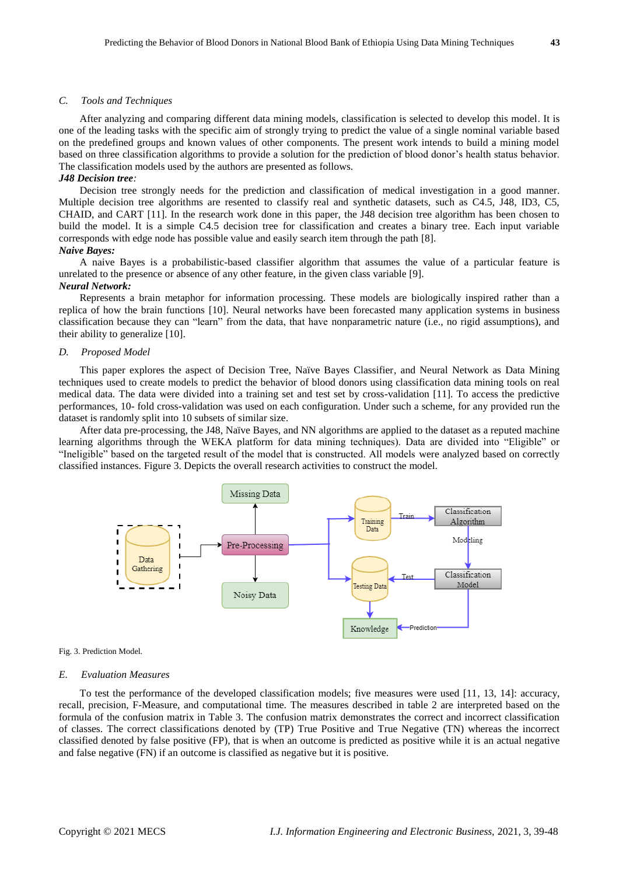#### *C. Tools and Techniques*

After analyzing and comparing different data mining models, classification is selected to develop this model. It is one of the leading tasks with the specific aim of strongly trying to predict the value of a single nominal variable based on the predefined groups and known values of other components. The present work intends to build a mining model based on three classification algorithms to provide a solution for the prediction of blood donor's health status behavior. The classification models used by the authors are presented as follows.

#### *J48 Decision tree:*

Decision tree strongly needs for the prediction and classification of medical investigation in a good manner. Multiple decision tree algorithms are resented to classify real and synthetic datasets, such as C4.5, J48, ID3, C5, CHAID, and CART [11]. In the research work done in this paper, the J48 decision tree algorithm has been chosen to build the model. It is a simple C4.5 decision tree for classification and creates a binary tree. Each input variable corresponds with edge node has possible value and easily search item through the path [8].

# *Naive Bayes:*

A naive Bayes is a probabilistic-based classifier algorithm that assumes the value of a particular feature is unrelated to the presence or absence of any other feature, in the given class variable [9].

#### *Neural Network:*

Represents a brain metaphor for information processing. These models are biologically inspired rather than a replica of how the brain functions [10]. Neural networks have been forecasted many application systems in business classification because they can "learn" from the data, that have nonparametric nature (i.e., no rigid assumptions), and their ability to generalize [10].

#### *D. Proposed Model*

This paper explores the aspect of Decision Tree, Naïve Bayes Classifier, and Neural Network as Data Mining techniques used to create models to predict the behavior of blood donors using classification data mining tools on real medical data. The data were divided into a training set and test set by cross-validation [11]. To access the predictive performances, 10- fold cross-validation was used on each configuration. Under such a scheme, for any provided run the dataset is randomly split into 10 subsets of similar size.

After data pre-processing, the J48, Na  $\ddot{\text{v}}$ e Bayes, and NN algorithms are applied to the dataset as a reputed machine learning algorithms through the WEKA platform for data mining techniques). Data are divided into "Eligible" or "Ineligible" based on the targeted result of the model that is constructed. All models were analyzed based on correctly classified instances. Figure 3. Depicts the overall research activities to construct the model.



#### Fig. 3. Prediction Model.

#### *E. Evaluation Measures*

To test the performance of the developed classification models; five measures were used [11, 13, 14]: accuracy, recall, precision, F-Measure, and computational time. The measures described in table 2 are interpreted based on the formula of the confusion matrix in Table 3. The confusion matrix demonstrates the correct and incorrect classification of classes. The correct classifications denoted by (TP) True Positive and True Negative (TN) whereas the incorrect classified denoted by false positive (FP), that is when an outcome is predicted as positive while it is an actual negative and false negative (FN) if an outcome is classified as negative but it is positive.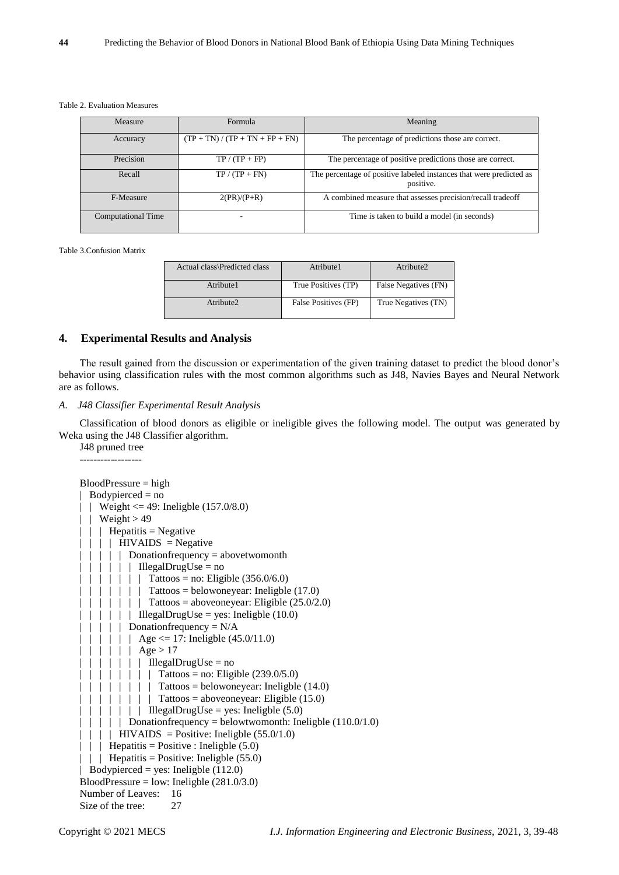#### Table 2. Evaluation Measures

| Formula<br>Measure        |                                   | Meaning                                                                          |  |  |
|---------------------------|-----------------------------------|----------------------------------------------------------------------------------|--|--|
| Accuracy                  | $(TP + TN) / (TP + TN + FP + FN)$ | The percentage of predictions those are correct.                                 |  |  |
| Precision                 | $TP / (TP + FP)$                  | The percentage of positive predictions those are correct.                        |  |  |
| Recall                    | $TP / (TP + FN)$                  | The percentage of positive labeled instances that were predicted as<br>positive. |  |  |
| F-Measure                 | $2(PR)/(P+R)$                     | A combined measure that assesses precision/recall tradeoff                       |  |  |
| <b>Computational Time</b> |                                   | Time is taken to build a model (in seconds)                                      |  |  |

Table 3.Confusion Matrix

| Actual class\Predicted class | Atribute1            | Atribute2            |
|------------------------------|----------------------|----------------------|
| Atribute1                    | True Positives (TP)  | False Negatives (FN) |
| Atribute2                    | False Positives (FP) | True Negatives (TN)  |

# **4. Experimental Results and Analysis**

The result gained from the discussion or experimentation of the given training dataset to predict the blood donor's behavior using classification rules with the most common algorithms such as J48, Navies Bayes and Neural Network are as follows.

#### *A. J48 Classifier Experimental Result Analysis*

Classification of blood donors as eligible or ineligible gives the following model. The output was generated by Weka using the J48 Classifier algorithm.

J48 pruned tree ------------------

```
BloodPressure = high
 Bodypirected = no| Weight \leq 49: Ineligble (157.0/8.0)
| | Weight > 49
| \ | \ Hepatitis = Negative
| | | | HIVAIDS = Negative
| | | | Donationfrequency = abovetwomonth
| | | | | | | IllegalDrugUse = no
| | | | | | | | | Tattoos = no: Eligible (356.0/6.0)
| | | | | | | Tattoos = belowoneyear: Ineligble (17.0)
| \cdot | \cdot | \cdot | Tattoos = aboveoneyear: Eligible (25.0/2.0)
| \cdot | \cdot | | | IllegalDrugUse = yes: Ineligble (10.0)
| \ | \ | \ | Donationfrequency = N/A
  | | | | Age <= 17: Ineligble (45.0/11.0)
 | | | | | | Age > 17
    | \cdot | \cdot | | IllegalDrugUse = no
        | | | | Tattoos = no: Eligible (239.0/5.0)| | | | | Tattoos = belowoneyear: Ineligble (14.0)
      | \cdot | \cdot | Tattoos = aboveoneyear: Eligible (15.0)
      | \cdot | | | IllegalDrugUse = yes: Ineligble (5.0)
  \vert \vert \vert | Donationfrequency = belowtwomonth: Ineligble (110.0/1.0)
  \vert \vert HIVAIDS = Positive: Ineligble (55.0/1.0)
| | | Hepatitis = Positive : Ineligble (5.0)
  | | Hepatitis = Positive: Ineligble (55.0)
  Bodypirected = yes: Ineligble (112.0)
BloodPressure = low: Ineligble (281.0/3.0)Number of Leaves: 16
Size of the tree: 27
```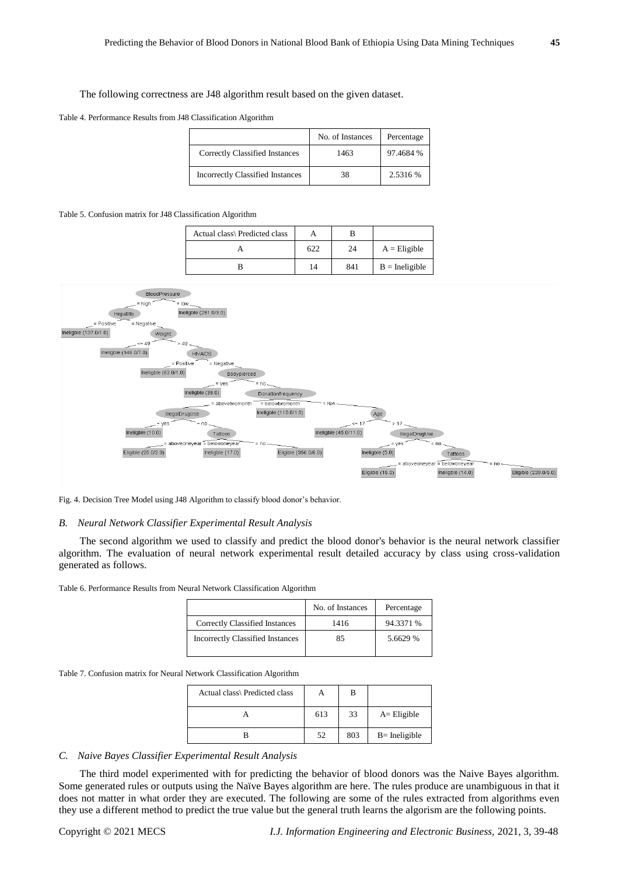#### The following correctness are J48 algorithm result based on the given dataset.

Table 4. Performance Results from J48 Classification Algorithm

|                                         | No. of Instances | Percentage |
|-----------------------------------------|------------------|------------|
| Correctly Classified Instances          | 1463             | 97.4684 %  |
| <b>Incorrectly Classified Instances</b> | 38               | 2.5316 %   |

#### Table 5. Confusion matrix for J48 Classification Algorithm

| Actual class\ Predicted class |     |     |                  |
|-------------------------------|-----|-----|------------------|
|                               | 622 | 24  | $A =$ Eligible   |
|                               | 14  | 841 | $B =$ Ineligible |



Fig. 4. Decision Tree Model using J48 Algorithm to classify blood donor's behavior.

#### *B. Neural Network Classifier Experimental Result Analysis*

The second algorithm we used to classify and predict the blood donor's behavior is the neural network classifier algorithm. The evaluation of neural network experimental result detailed accuracy by class using cross-validation generated as follows.

Table 6. Performance Results from Neural Network Classification Algorithm

|                                         | No. of Instances | Percentage |
|-----------------------------------------|------------------|------------|
| Correctly Classified Instances          | 1416             | 94.3371 %  |
| <b>Incorrectly Classified Instances</b> | 85               | 5.6629 %   |

Table 7. Confusion matrix for Neural Network Classification Algorithm

| Actual class\ Predicted class |     |     |                  |
|-------------------------------|-----|-----|------------------|
|                               | 613 | 33  | $A =$ Eligible   |
|                               | .52 | 803 | $B =$ Ineligible |

## *C. Naive Bayes Classifier Experimental Result Analysis*

The third model experimented with for predicting the behavior of blood donors was the Naive Bayes algorithm. Some generated rules or outputs using the Na ive Bayes algorithm are here. The rules produce are unambiguous in that it does not matter in what order they are executed. The following are some of the rules extracted from algorithms even they use a different method to predict the true value but the general truth learns the algorism are the following points.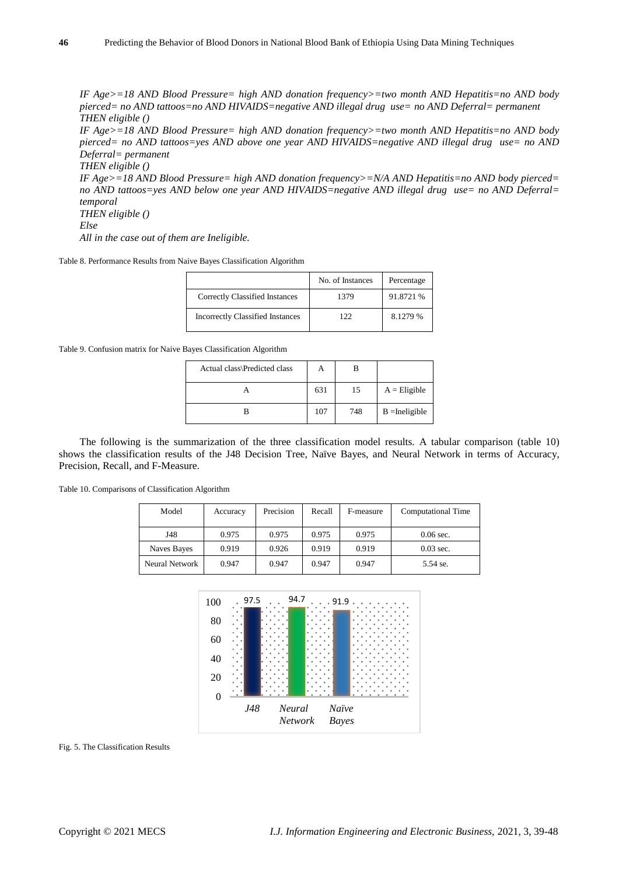*IF Age>=18 AND Blood Pressure= high AND donation frequency>=two month AND Hepatitis=no AND body pierced= no AND tattoos=no AND HIVAIDS=negative AND illegal drug use= no AND Deferral= permanent THEN eligible ()*

*IF Age>=18 AND Blood Pressure= high AND donation frequency>=two month AND Hepatitis=no AND body pierced= no AND tattoos=yes AND above one year AND HIVAIDS=negative AND illegal drug use= no AND Deferral= permanent*

*THEN eligible () IF Age>=18 AND Blood Pressure= high AND donation frequency>=N/A AND Hepatitis=no AND body pierced= no AND tattoos=yes AND below one year AND HIVAIDS=negative AND illegal drug use= no AND Deferral= temporal THEN eligible ()*

```
Else
```
*All in the case out of them are Ineligible.*

Table 8. Performance Results from Naive Bayes Classification Algorithm

|                                         | No. of Instances | Percentage |
|-----------------------------------------|------------------|------------|
| Correctly Classified Instances          | 1379             | 91.8721 %  |
| <b>Incorrectly Classified Instances</b> | 122              | 8.1279 %   |

Table 9. Confusion matrix for Naive Bayes Classification Algorithm

| Actual class\Predicted class | А   | в   |                  |
|------------------------------|-----|-----|------------------|
|                              | 631 | 15  | $A =$ Eligible   |
|                              | 107 | 748 | $B =$ Ineligible |

The following is the summarization of the three classification model results. A tabular comparison (table 10) shows the classification results of the J48 Decision Tree, Naïve Bayes, and Neural Network in terms of Accuracy, Precision, Recall, and F-Measure.

Table 10. Comparisons of Classification Algorithm

| Model          | Accuracy | Precision | Recall | F-measure | <b>Computational Time</b> |
|----------------|----------|-----------|--------|-----------|---------------------------|
| J48            | 0.975    | 0.975     | 0.975  | 0.975     | $0.06$ sec.               |
| Naves Bayes    | 0.919    | 0.926     | 0.919  | 0.919     | $0.03$ sec.               |
| Neural Network | 0.947    | 0.947     | 0.947  | 0.947     | 5.54 se.                  |



Fig. 5. The Classification Results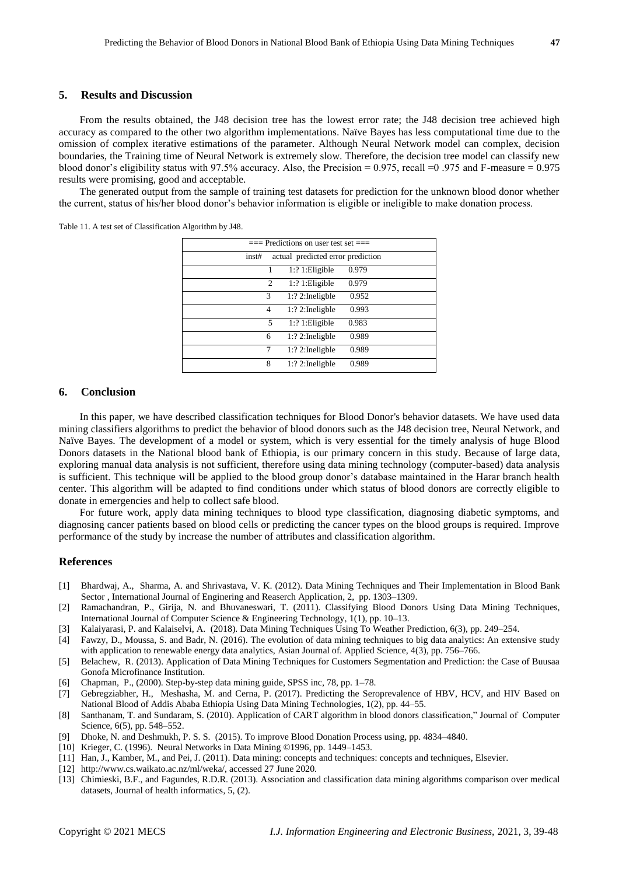# **5. Results and Discussion**

From the results obtained, the J48 decision tree has the lowest error rate; the J48 decision tree achieved high accuracy as compared to the other two algorithm implementations. Naïve Bayes has less computational time due to the omission of complex iterative estimations of the parameter. Although Neural Network model can complex, decision boundaries, the Training time of Neural Network is extremely slow. Therefore, the decision tree model can classify new blood donor's eligibility status with 97.5% accuracy. Also, the Precision = 0.975, recall =0 .975 and F-measure = 0.975 results were promising, good and acceptable.

The generated output from the sample of training test datasets for prediction for the unknown blood donor whether the current, status of his/her blood donor's behavior information is eligible or ineligible to make donation process.

Table 11. A test set of Classification Algorithm by J48.

| $==$ Predictions on user test set $==$ |                                   |       |  |  |  |  |
|----------------------------------------|-----------------------------------|-------|--|--|--|--|
| inst#                                  | actual predicted error prediction |       |  |  |  |  |
| 1                                      | $1:?1:$ Eligible                  | 0.979 |  |  |  |  |
| 2                                      | $1:?1:$ Eligible                  | 0.979 |  |  |  |  |
| 3                                      | $1:?$ 2: Ineligble                | 0.952 |  |  |  |  |
| 4                                      | $1:?$ 2: Ineligble                | 0.993 |  |  |  |  |
| 5                                      | $1:?1:$ Eligible                  | 0.983 |  |  |  |  |
| 6                                      | $1:?$ 2: Ineligble                | 0.989 |  |  |  |  |
|                                        | $1:?$ 2: Ineligble                | 0.989 |  |  |  |  |
| 8                                      | $1:?$ 2: Ineligble                | 0.989 |  |  |  |  |

## **6. Conclusion**

In this paper, we have described classification techniques for Blood Donor's behavior datasets. We have used data mining classifiers algorithms to predict the behavior of blood donors such as the J48 decision tree, Neural Network, and Naïve Bayes. The development of a model or system, which is very essential for the timely analysis of huge Blood Donors datasets in the National blood bank of Ethiopia, is our primary concern in this study. Because of large data, exploring manual data analysis is not sufficient, therefore using data mining technology (computer-based) data analysis is sufficient. This technique will be applied to the blood group donor's database maintained in the Harar branch health center. This algorithm will be adapted to find conditions under which status of blood donors are correctly eligible to donate in emergencies and help to collect safe blood.

For future work, apply data mining techniques to blood type classification, diagnosing diabetic symptoms, and diagnosing cancer patients based on blood cells or predicting the cancer types on the blood groups is required. Improve performance of the study by increase the number of attributes and classification algorithm.

#### **References**

- [1] Bhardwaj, A., Sharma, A. and Shrivastava, V. K. (2012). Data Mining Techniques and Their Implementation in Blood Bank Sector , International Journal of Enginering and Reaserch Application, 2, pp. 1303–1309.
- [2] Ramachandran, P., Girija, N. and Bhuvaneswari, T. (2011). Classifying Blood Donors Using Data Mining Techniques, International Journal of Computer Science & Engineering Technology, 1(1), pp. 10–13.
- [3] Kalaiyarasi, P. and Kalaiselvi, A. (2018). Data Mining Techniques Using To Weather Prediction, 6(3), pp. 249–254.
- [4] Fawzy, D., Moussa, S. and Badr, N. (2016). The evolution of data mining techniques to big data analytics: An extensive study with application to renewable energy data analytics, Asian Journal of. Applied Science, 4(3), pp. 756–766.
- [5] Belachew, R. (2013). Application of Data Mining Techniques for Customers Segmentation and Prediction: the Case of Buusaa Gonofa Microfinance Institution.
- [6] Chapman, P., (2000). Step-by-step data mining guide, SPSS inc, 78, pp. 1–78.
- [7] Gebregziabher, H., Meshasha, M. and Cerna, P. (2017). Predicting the Seroprevalence of HBV, HCV, and HIV Based on National Blood of Addis Ababa Ethiopia Using Data Mining Technologies, 1(2), pp. 44–55.
- [8] Santhanam, T. and Sundaram, S. (2010). Application of CART algorithm in blood donors classification," Journal of Computer Science, 6(5), pp. 548–552.
- [9] Dhoke, N. and Deshmukh, P. S. S. (2015). To improve Blood Donation Process using, pp. 4834–4840.
- [10] Krieger, C. (1996). Neural Networks in Data Mining ©1996, pp. 1449–1453.
- [11] Han, J., Kamber, M., and Pei, J. (2011). Data mining: concepts and techniques: concepts and techniques, Elsevier.
- [12] http://www.cs.waikato.ac.nz/ml/weka/, accessed 27 June 2020.
- [13] Chimieski, B.F., and Fagundes, R.D.R. (2013). Association and classification data mining algorithms comparison over medical datasets, Journal of health informatics, 5, (2).